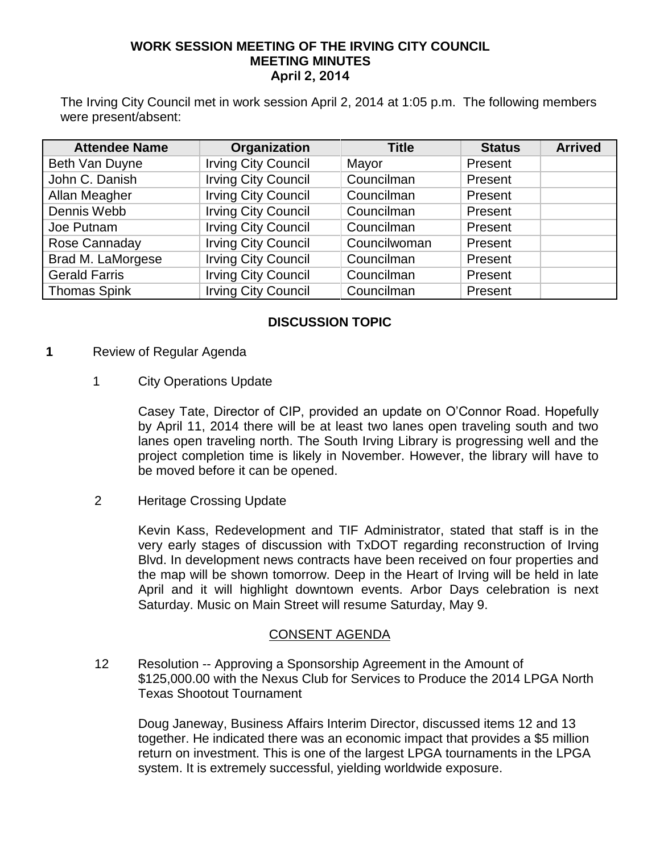#### **WORK SESSION MEETING OF THE IRVING CITY COUNCIL MEETING MINUTES April 2, 2014**

The Irving City Council met in work session April 2, 2014 at 1:05 p.m. The following members were present/absent:

| <b>Attendee Name</b> | Organization               | <b>Title</b> | <b>Status</b> | <b>Arrived</b> |
|----------------------|----------------------------|--------------|---------------|----------------|
| Beth Van Duyne       | <b>Irving City Council</b> | Mayor        | Present       |                |
| John C. Danish       | <b>Irving City Council</b> | Councilman   | Present       |                |
| Allan Meagher        | <b>Irving City Council</b> | Councilman   | Present       |                |
| Dennis Webb          | <b>Irving City Council</b> | Councilman   | Present       |                |
| Joe Putnam           | <b>Irving City Council</b> | Councilman   | Present       |                |
| Rose Cannaday        | <b>Irving City Council</b> | Councilwoman | Present       |                |
| Brad M. LaMorgese    | <b>Irving City Council</b> | Councilman   | Present       |                |
| <b>Gerald Farris</b> | <b>Irving City Council</b> | Councilman   | Present       |                |
| <b>Thomas Spink</b>  | <b>Irving City Council</b> | Councilman   | Present       |                |

# **DISCUSSION TOPIC**

- **1** Review of Regular Agenda
	- 1 City Operations Update

Casey Tate, Director of CIP, provided an update on O'Connor Road. Hopefully by April 11, 2014 there will be at least two lanes open traveling south and two lanes open traveling north. The South Irving Library is progressing well and the project completion time is likely in November. However, the library will have to be moved before it can be opened.

2 Heritage Crossing Update

Kevin Kass, Redevelopment and TIF Administrator, stated that staff is in the very early stages of discussion with TxDOT regarding reconstruction of Irving Blvd. In development news contracts have been received on four properties and the map will be shown tomorrow. Deep in the Heart of Irving will be held in late April and it will highlight downtown events. Arbor Days celebration is next Saturday. Music on Main Street will resume Saturday, May 9.

#### CONSENT AGENDA

12 Resolution -- Approving a Sponsorship Agreement in the Amount of \$125,000.00 with the Nexus Club for Services to Produce the 2014 LPGA North Texas Shootout Tournament

Doug Janeway, Business Affairs Interim Director, discussed items 12 and 13 together. He indicated there was an economic impact that provides a \$5 million return on investment. This is one of the largest LPGA tournaments in the LPGA system. It is extremely successful, yielding worldwide exposure.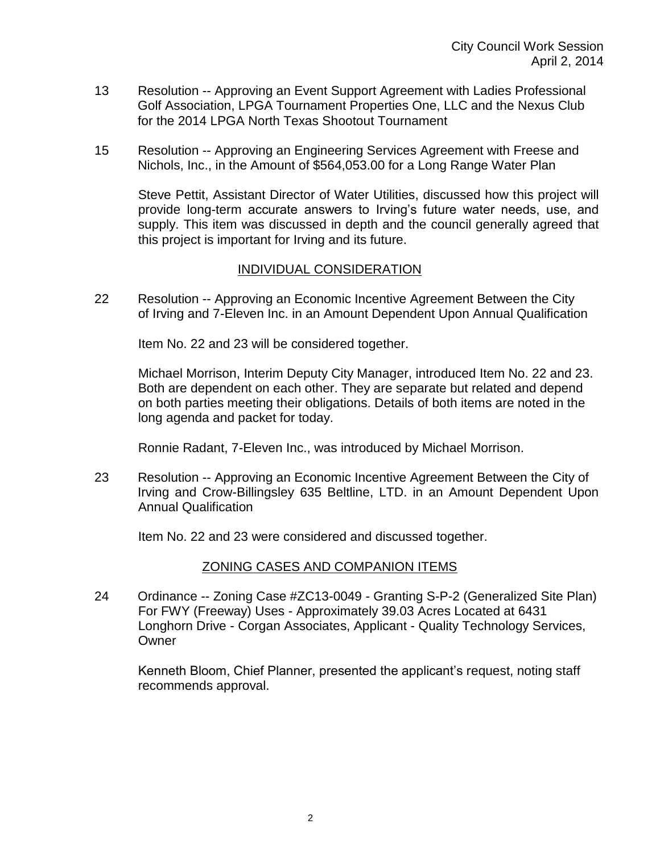- 13 Resolution -- Approving an Event Support Agreement with Ladies Professional Golf Association, LPGA Tournament Properties One, LLC and the Nexus Club for the 2014 LPGA North Texas Shootout Tournament
- 15 Resolution -- Approving an Engineering Services Agreement with Freese and Nichols, Inc., in the Amount of \$564,053.00 for a Long Range Water Plan

Steve Pettit, Assistant Director of Water Utilities, discussed how this project will provide long-term accurate answers to Irving's future water needs, use, and supply. This item was discussed in depth and the council generally agreed that this project is important for Irving and its future.

## INDIVIDUAL CONSIDERATION

22 Resolution -- Approving an Economic Incentive Agreement Between the City of Irving and 7-Eleven Inc. in an Amount Dependent Upon Annual Qualification

Item No. 22 and 23 will be considered together.

Michael Morrison, Interim Deputy City Manager, introduced Item No. 22 and 23. Both are dependent on each other. They are separate but related and depend on both parties meeting their obligations. Details of both items are noted in the long agenda and packet for today.

Ronnie Radant, 7-Eleven Inc., was introduced by Michael Morrison.

23 Resolution -- Approving an Economic Incentive Agreement Between the City of Irving and Crow-Billingsley 635 Beltline, LTD. in an Amount Dependent Upon Annual Qualification

Item No. 22 and 23 were considered and discussed together.

## ZONING CASES AND COMPANION ITEMS

24 Ordinance -- Zoning Case #ZC13-0049 - Granting S-P-2 (Generalized Site Plan) For FWY (Freeway) Uses - Approximately 39.03 Acres Located at 6431 Longhorn Drive - Corgan Associates, Applicant - Quality Technology Services, **Owner** 

Kenneth Bloom, Chief Planner, presented the applicant's request, noting staff recommends approval.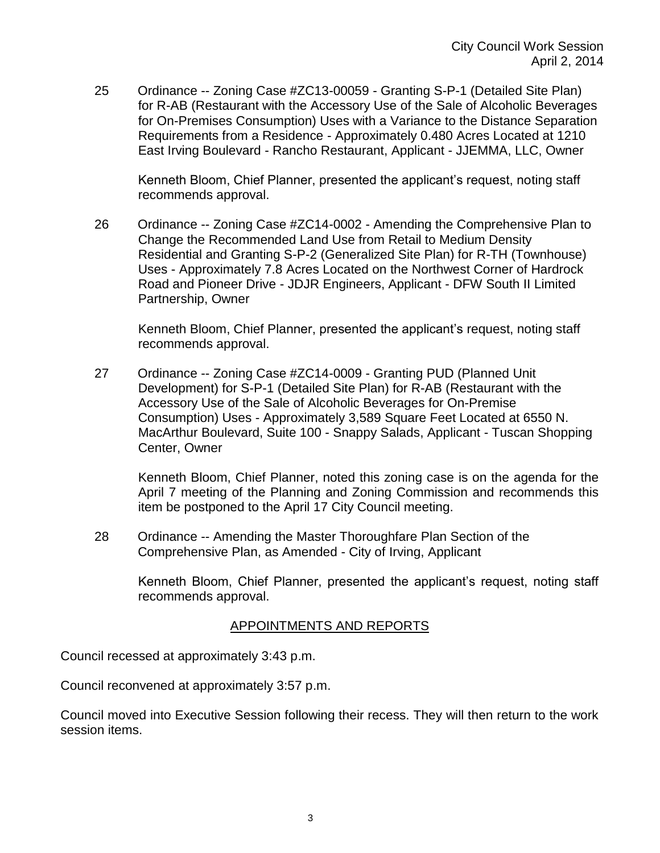25 Ordinance -- Zoning Case #ZC13-00059 - Granting S-P-1 (Detailed Site Plan) for R-AB (Restaurant with the Accessory Use of the Sale of Alcoholic Beverages for On-Premises Consumption) Uses with a Variance to the Distance Separation Requirements from a Residence - Approximately 0.480 Acres Located at 1210 East Irving Boulevard - Rancho Restaurant, Applicant - JJEMMA, LLC, Owner

Kenneth Bloom, Chief Planner, presented the applicant's request, noting staff recommends approval.

26 Ordinance -- Zoning Case #ZC14-0002 - Amending the Comprehensive Plan to Change the Recommended Land Use from Retail to Medium Density Residential and Granting S-P-2 (Generalized Site Plan) for R-TH (Townhouse) Uses - Approximately 7.8 Acres Located on the Northwest Corner of Hardrock Road and Pioneer Drive - JDJR Engineers, Applicant - DFW South II Limited Partnership, Owner

Kenneth Bloom, Chief Planner, presented the applicant's request, noting staff recommends approval.

27 Ordinance -- Zoning Case #ZC14-0009 - Granting PUD (Planned Unit Development) for S-P-1 (Detailed Site Plan) for R-AB (Restaurant with the Accessory Use of the Sale of Alcoholic Beverages for On-Premise Consumption) Uses - Approximately 3,589 Square Feet Located at 6550 N. MacArthur Boulevard, Suite 100 - Snappy Salads, Applicant - Tuscan Shopping Center, Owner

Kenneth Bloom, Chief Planner, noted this zoning case is on the agenda for the April 7 meeting of the Planning and Zoning Commission and recommends this item be postponed to the April 17 City Council meeting.

28 Ordinance -- Amending the Master Thoroughfare Plan Section of the Comprehensive Plan, as Amended - City of Irving, Applicant

Kenneth Bloom, Chief Planner, presented the applicant's request, noting staff recommends approval.

## APPOINTMENTS AND REPORTS

Council recessed at approximately 3:43 p.m.

Council reconvened at approximately 3:57 p.m.

Council moved into Executive Session following their recess. They will then return to the work session items.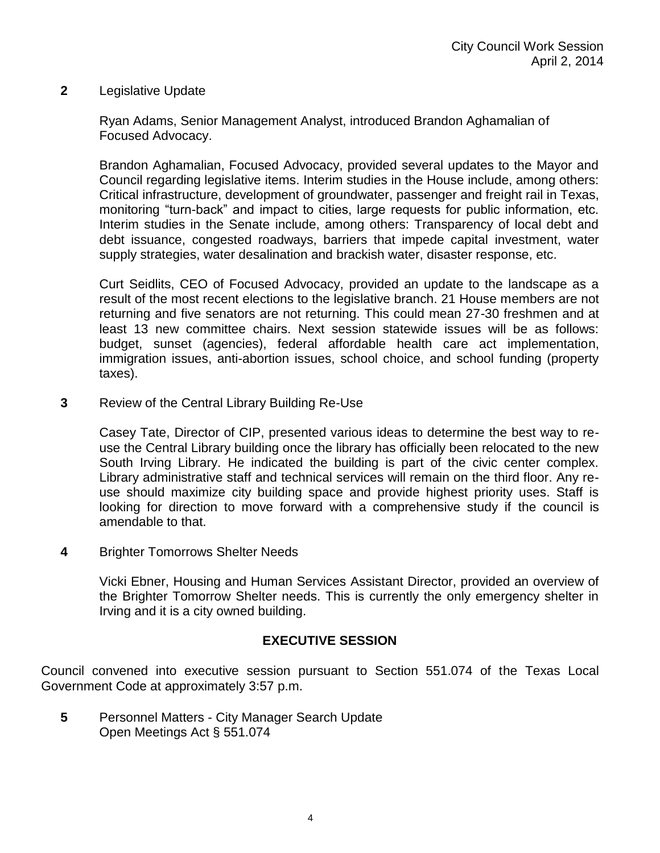**2** Legislative Update

Ryan Adams, Senior Management Analyst, introduced Brandon Aghamalian of Focused Advocacy.

Brandon Aghamalian, Focused Advocacy, provided several updates to the Mayor and Council regarding legislative items. Interim studies in the House include, among others: Critical infrastructure, development of groundwater, passenger and freight rail in Texas, monitoring "turn-back" and impact to cities, large requests for public information, etc. Interim studies in the Senate include, among others: Transparency of local debt and debt issuance, congested roadways, barriers that impede capital investment, water supply strategies, water desalination and brackish water, disaster response, etc.

Curt Seidlits, CEO of Focused Advocacy, provided an update to the landscape as a result of the most recent elections to the legislative branch. 21 House members are not returning and five senators are not returning. This could mean 27-30 freshmen and at least 13 new committee chairs. Next session statewide issues will be as follows: budget, sunset (agencies), federal affordable health care act implementation, immigration issues, anti-abortion issues, school choice, and school funding (property taxes).

**3** Review of the Central Library Building Re-Use

Casey Tate, Director of CIP, presented various ideas to determine the best way to reuse the Central Library building once the library has officially been relocated to the new South Irving Library. He indicated the building is part of the civic center complex. Library administrative staff and technical services will remain on the third floor. Any reuse should maximize city building space and provide highest priority uses. Staff is looking for direction to move forward with a comprehensive study if the council is amendable to that.

**4** Brighter Tomorrows Shelter Needs

Vicki Ebner, Housing and Human Services Assistant Director, provided an overview of the Brighter Tomorrow Shelter needs. This is currently the only emergency shelter in Irving and it is a city owned building.

## **EXECUTIVE SESSION**

Council convened into executive session pursuant to Section 551.074 of the Texas Local Government Code at approximately 3:57 p.m.

**5** Personnel Matters - City Manager Search Update Open Meetings Act § 551.074